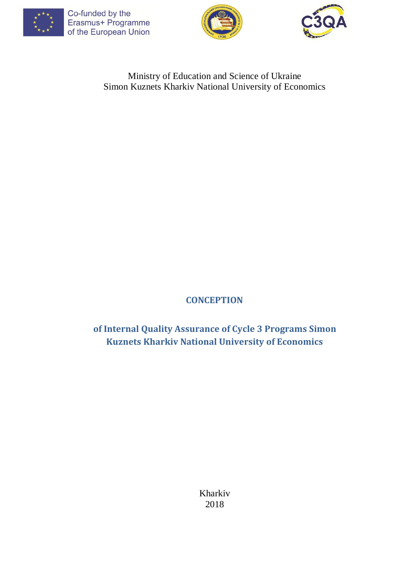





## Ministry of Education and Science of Ukraine Simon Kuznets Kharkiv National University of Economics

# **CONCEPTION**

**of Internal Quality Assurance of Cycle 3 Programs Simon Kuznets Kharkiv National University of Economics**

> Kharkiv 2018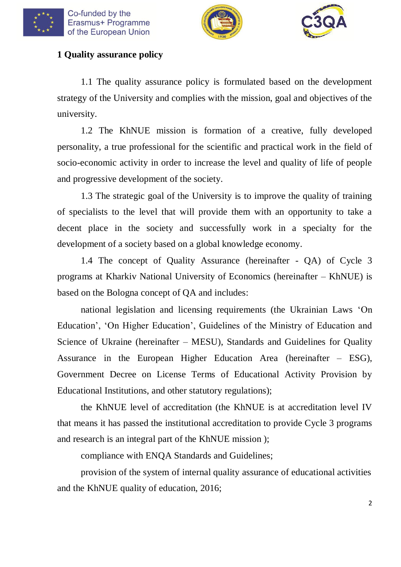





#### **1 Quality assurance policy**

1.1 The quality assurance policy is formulated based on the development strategy of the University and complies with the mission, goal and objectives of the university.

1.2 The KhNUE mission is formation of a creative, fully developed personality, a true professional for the scientific and practical work in the field of socio-economic activity in order to increase the level and quality of life of people and progressive development of the society.

1.3 The strategic goal of the University is to improve the quality of training of specialists to the level that will provide them with an opportunity to take a decent place in the society and successfully work in a specialty for the development of a society based on a global knowledge economy.

1.4 The concept of Quality Assurance (hereinafter - QA) of Cycle 3 programs at Kharkiv National University of Economics (hereinafter – KhNUE) is based on the Bologna concept of QA and includes:

national legislation and licensing requirements (the Ukrainian Laws 'On Education', 'On Higher Education', Guidelines of the Ministry of Education and Science of Ukraine (hereinafter – MESU), Standards and Guidelines for Quality Assurance in the European Higher Education Area (hereinafter – ESG), Government Decree on License Terms of Educational Activity Provision by Educational Institutions, and other statutory regulations);

the KhNUE level of accreditation (the KhNUE is at accreditation level IV that means it has passed the institutional accreditation to provide Cycle 3 programs and research is an integral part of the KhNUE mission );

compliance with ENQA Standards and Guidelines;

provision of the system of internal quality assurance of educational activities and the KhNUE quality of education, 2016;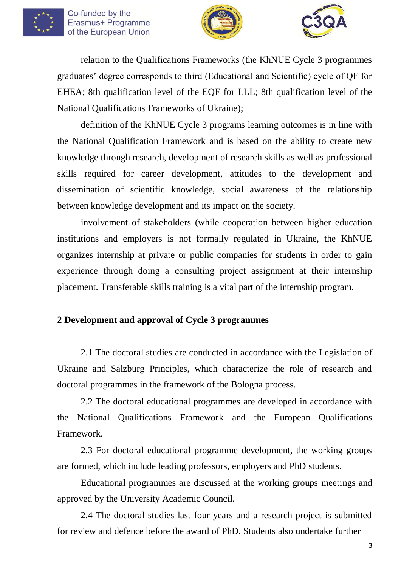





relation to the Qualifications Frameworks (the KhNUE Cycle 3 programmes graduates' degree corresponds to third (Educational and Scientific) cycle of QF for EHEA; 8th qualification level of the EQF for LLL; 8th qualification level of the National Qualifications Frameworks of Ukraine);

definition of the KhNUE Cycle 3 programs learning outcomes is in line with the National Qualification Framework and is based on the ability to create new knowledge through research, development of research skills as well as professional skills required for career development, attitudes to the development and dissemination of scientific knowledge, social awareness of the relationship between knowledge development and its impact on the society.

involvement of stakeholders (while cooperation between higher education institutions and employers is not formally regulated in Ukraine, the KhNUE organizes internship at private or public companies for students in order to gain experience through doing a consulting project assignment at their internship placement. Transferable skills training is a vital part of the internship program.

## **2 Development and approval of Cycle 3 programmes**

2.1 The doctoral studies are conducted in accordance with the Legislation of Ukraine and Salzburg Principles, which characterize the role of research and doctoral programmes in the framework of the Bologna process.

2.2 The doctoral educational programmes are developed in accordance with the National Qualifications Framework and the European Qualifications Framework.

2.3 For doctoral educational programme development, the working groups are formed, which include leading professors, employers and PhD students.

Educational programmes are discussed at the working groups meetings and approved by the University Academic Council.

2.4 The doctoral studies last four years and a research project is submitted for review and defence before the award of PhD. Students also undertake further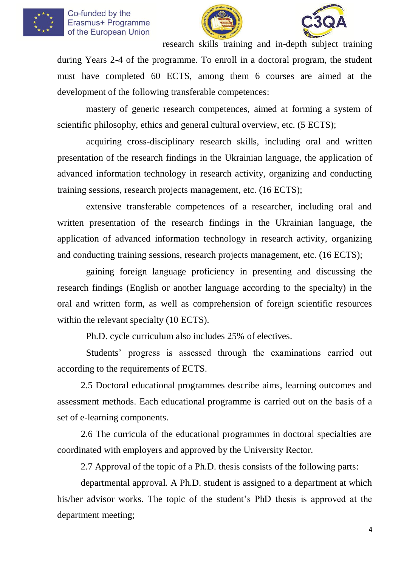





research skills training and in-depth subject training during Years 2-4 of the programme. To enroll in a doctoral program, the student must have completed 60 ECTS, among them 6 courses are aimed at the development of the following transferable competences:

mastery of generic research competences, aimed at forming a system of scientific philosophy, ethics and general cultural overview, etc. (5 ECTS);

acquiring cross-disciplinary research skills, including oral and written presentation of the research findings in the Ukrainian language, the application of advanced information technology in research activity, organizing and conducting training sessions, research projects management, etc. (16 ECTS);

extensive transferable competences of a researcher, including oral and written presentation of the research findings in the Ukrainian language, the application of advanced information technology in research activity, organizing and conducting training sessions, research projects management, etc. (16 ECTS);

gaining foreign language proficiency in presenting and discussing the research findings (English or another language according to the specialty) in the oral and written form, as well as comprehension of foreign scientific resources within the relevant specialty (10 ECTS).

Ph.D. cycle curriculum also includes 25% of electives.

Students' progress is assessed through the examinations carried out according to the requirements of ECTS.

2.5 Doctoral educational programmes describe aims, learning outcomes and assessment methods. Each educational programme is carried out on the basis of a set of e-learning components.

2.6 The curricula of the educational programmes in doctoral specialties are coordinated with employers and approved by the University Rector.

2.7 Approval of the topic of a Ph.D. thesis consists of the following parts:

departmental approval. A Ph.D. student is assigned to a department at which his/her advisor works. The topic of the student's PhD thesis is approved at the department meeting;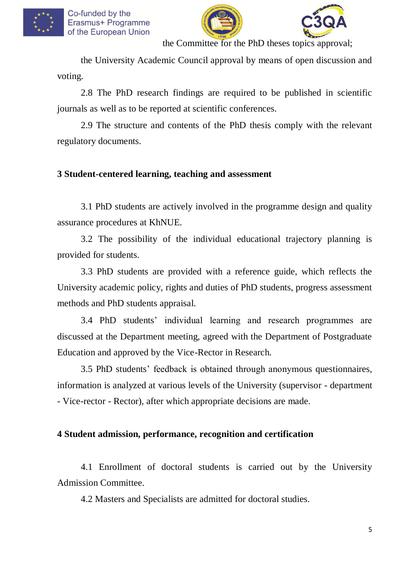





the Committee for the PhD theses topics approval;

the University Academic Council approval by means of open discussion and voting.

2.8 The PhD research findings are required to be published in scientific journals as well as to be reported at scientific conferences.

2.9 The structure and contents of the PhD thesis comply with the relevant regulatory documents.

#### **3 Student-centered learning, teaching and assessment**

3.1 PhD students are actively involved in the programme design and quality assurance procedures at KhNUE.

3.2 The possibility of the individual educational trajectory planning is provided for students.

3.3 PhD students are provided with a reference guide, which reflects the University academic policy, rights and duties of PhD students, progress assessment methods and PhD students appraisal.

3.4 PhD students' individual learning and research programmes are discussed at the Department meeting, agreed with the Department of Postgraduate Education and approved by the Vice-Rector in Research.

3.5 PhD students' feedback is obtained through anonymous questionnaires, information is analyzed at various levels of the University (supervisor - department - Vice-rector - Rector), after which appropriate decisions are made.

#### **4 Student admission, performance, recognition and certification**

4.1 Enrollment of doctoral students is carried out by the University Admission Committee.

4.2 Masters and Specialists are admitted for doctoral studies.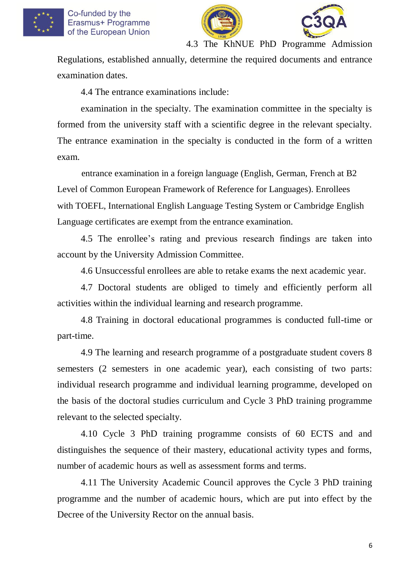





4.3 The KhNUE PhD Programme Admission

Regulations, established annually, determine the required documents and entrance examination dates.

4.4 The entrance examinations include:

examination in the specialty. The examination committee in the specialty is formed from the university staff with a scientific degree in the relevant specialty. The entrance examination in the specialty is conducted in the form of a written exam.

entrance examination in a foreign language (English, German, French at B2 Level of Common European Framework of Reference for Languages). Enrollees with TOEFL, International English Language Testing System or Сambridge English Language certificates are exempt from the entrance examination.

4.5 The enrollee's rating and previous research findings are taken into account by the University Admission Committee.

4.6 Unsuccessful enrollees are able to retake exams the next academic year.

4.7 Doctoral students are obliged to timely and efficiently perform all activities within the individual learning and research programme.

4.8 Training in doctoral educational programmes is conducted full-time or part-time.

4.9 The learning and research programme of a postgraduate student covers 8 semesters (2 semesters in one academic year), each consisting of two parts: individual research programme and individual learning programme, developed on the basis of the doctoral studies curriculum and Cycle 3 PhD training programme relevant to the selected specialty.

4.10 Cycle 3 PhD training programme consists of 60 ECTS and and distinguishes the sequence of their mastery, educational activity types and forms, number of academic hours as well as assessment forms and terms.

4.11 The University Academic Council approves the Cycle 3 PhD training programme and the number of academic hours, which are put into effect by the Decree of the University Rector on the annual basis.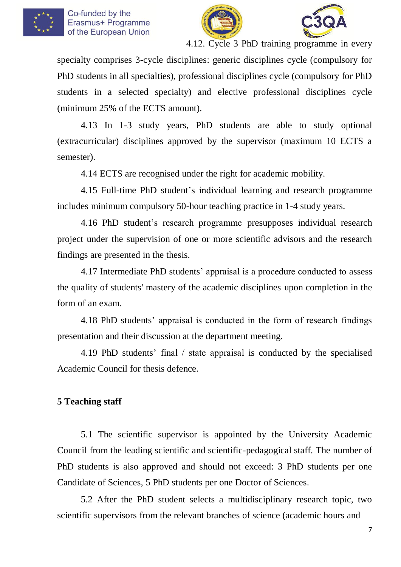





specialty comprises 3-cycle disciplines: generic disciplines cycle (compulsory for PhD students in all specialties), professional disciplines cycle (compulsory for PhD students in a selected specialty) and elective professional disciplines cycle (minimum 25% of the ECTS amount).

4.13 In 1-3 study years, PhD students are able to study optional (extracurricular) disciplines approved by the supervisor (maximum 10 ECTS a semester).

4.14 ECTS are recognised under the right for academic mobility.

4.15 Full-time PhD student's individual learning and research programme includes minimum compulsory 50-hour teaching practice in 1-4 study years.

4.16 PhD student's research programme presupposes individual research project under the supervision of one or more scientific advisors and the research findings are presented in the thesis.

4.17 Intermediate PhD students' appraisal is a procedure conducted to assess the quality of students' mastery of the academic disciplines upon completion in the form of an exam.

4.18 PhD students' appraisal is conducted in the form of research findings presentation and their discussion at the department meeting.

4.19 PhD students' final / state appraisal is conducted by the specialised Academic Council for thesis defence.

## **5 Teaching staff**

5.1 The scientific supervisor is appointed by the University Academic Council from the leading scientific and scientific-pedagogical staff. The number of PhD students is also approved and should not exceed: 3 PhD students per one Candidate of Sciences, 5 PhD students per one Doctor of Sciences.

5.2 After the PhD student selects a multidisciplinary research topic, two scientific supervisors from the relevant branches of science (academic hours and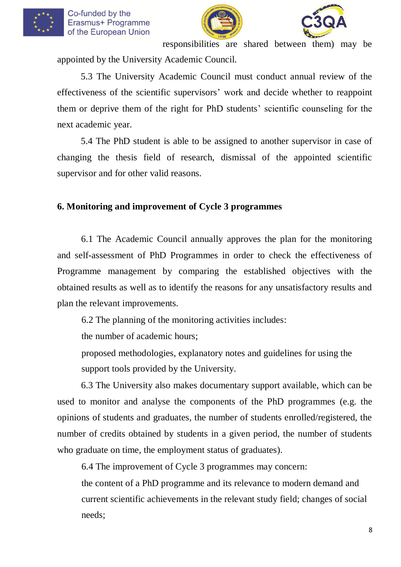





responsibilities are shared between them) may be

appointed by the University Academic Council.

5.3 The University Academic Council must conduct annual review of the effectiveness of the scientific supervisors' work and decide whether to reappoint them or deprive them of the right for PhD students' scientific counseling for the next academic year.

5.4 The PhD student is able to be assigned to another supervisor in case of changing the thesis field of research, dismissal of the appointed scientific supervisor and for other valid reasons.

### **6. Monitoring and improvement of Cycle 3 programmes**

6.1 The Academic Council annually approves the plan for the monitoring and self-assessment of PhD Programmes in order to check the effectiveness of Programme management by comparing the established objectives with the obtained results as well as to identify the reasons for any unsatisfactory results and plan the relevant improvements.

6.2 The planning of the monitoring activities includes:

the number of academic hours;

proposed methodologies, explanatory notes and guidelines for using the support tools provided by the University.

6.3 The University also makes documentary support available, which can be used to monitor and analyse the components of the PhD programmes (e.g. the opinions of students and graduates, the number of students enrolled/registered, the number of credits obtained by students in a given period, the number of students who graduate on time, the employment status of graduates).

6.4 The improvement of Cycle 3 programmes may concern:

the content of a PhD programme and its relevance to modern demand and current scientific achievements in the relevant study field; changes of social needs;